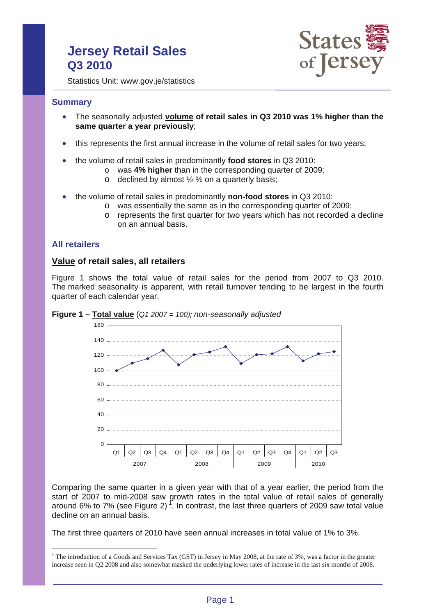# **Jersey Retail Sales Q3 2010**



Statistics Unit: www.gov.je/statistics

### **Summary**

- The seasonally adjusted **volume of retail sales in Q3 2010 was 1% higher than the same quarter a year previously**;
- this represents the first annual increase in the volume of retail sales for two years;
- the volume of retail sales in predominantly **food stores** in Q3 2010:
	- o was **4% higher** than in the corresponding quarter of 2009;
	- $\circ$  declined by almost  $\frac{1}{2}$  % on a quarterly basis;
- the volume of retail sales in predominantly **non-food stores** in Q3 2010:
	- o was essentially the same as in the corresponding quarter of 2009;
	- $\circ$  represents the first quarter for two years which has not recorded a decline on an annual basis.

## **All retailers**

 $\overline{a}$ 

### **Value of retail sales, all retailers**

Figure 1 shows the total value of retail sales for the period from 2007 to Q3 2010. The marked seasonality is apparent, with retail turnover tending to be largest in the fourth quarter of each calendar year.





Comparing the same quarter in a given year with that of a year earlier, the period from the start of 2007 to mid-2008 saw growth rates in the total value of retail sales of generally around 6% to 7% (see Figure 2)<sup>1</sup>. In contrast, the last three quarters of 2009 saw total value decline on an annual basis.

The first three quarters of 2010 have seen annual increases in total value of 1% to 3%.

<sup>&</sup>lt;sup>1</sup> The introduction of a Goods and Services Tax (GST) in Jersey in May 2008, at the rate of 3%, was a factor in the greater increase seen in Q2 2008 and also somewhat masked the underlying lower rates of increase in the last six months of 2008.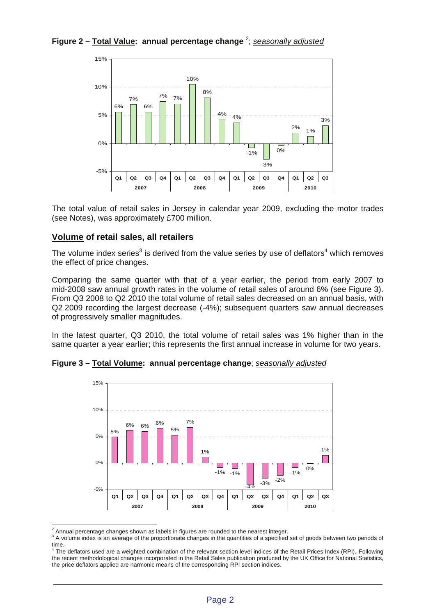**Figure 2 – Total Value: annual percentage change** <sup>2</sup> ; *seasonally adjusted* 



The total value of retail sales in Jersey in calendar year 2009, excluding the motor trades (see Notes), was approximately £700 million.

# **Volume of retail sales, all retailers**

The volume index series<sup>3</sup> is derived from the value series by use of deflators<sup>4</sup> which removes the effect of price changes.

Comparing the same quarter with that of a year earlier, the period from early 2007 to mid-2008 saw annual growth rates in the volume of retail sales of around 6% (see Figure 3). From Q3 2008 to Q2 2010 the total volume of retail sales decreased on an annual basis, with Q2 2009 recording the largest decrease (-4%); subsequent quarters saw annual decreases of progressively smaller magnitudes.

In the latest quarter, Q3 2010, the total volume of retail sales was 1% higher than in the same quarter a year earlier; this represents the first annual increase in volume for two years.



**Figure 3 – Total Volume: annual percentage change**; *seasonally adjusted* 

 $\overline{a}$  $^2$  Annual percentage changes shown as labels in figures are rounded to the nearest integer.

<sup>&</sup>lt;sup>3</sup> A volume index is an average of the proportionate changes in the quantities of a specified set of goods between two periods of

time.<br><sup>4</sup> The deflators used are a weighted combination of the relevant section level indices of the Retail Prices Index (RPI). Following the recent methodological changes incorporated in the Retail Sales publication produced by the UK Office for National Statistics, the price deflators applied are harmonic means of the corresponding RPI section indices.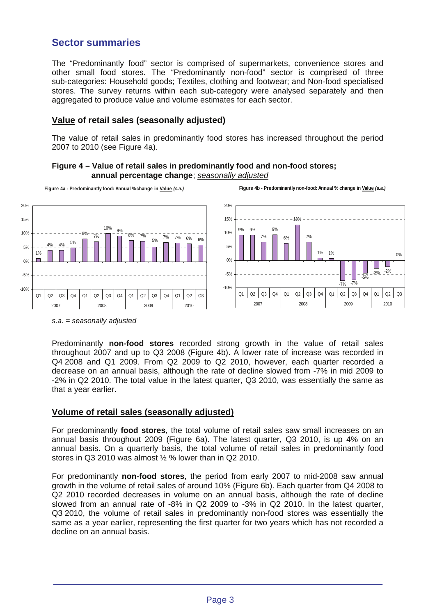# **Sector summaries**

The "Predominantly food" sector is comprised of supermarkets, convenience stores and other small food stores. The "Predominantly non-food" sector is comprised of three sub-categories: Household goods; Textiles, clothing and footwear; and Non-food specialised stores. The survey returns within each sub-category were analysed separately and then aggregated to produce value and volume estimates for each sector.

# **Value of retail sales (seasonally adjusted)**

The value of retail sales in predominantly food stores has increased throughout the period 2007 to 2010 (see Figure 4a).





*s.a. = seasonally adjusted* 

Predominantly **non-food stores** recorded strong growth in the value of retail sales throughout 2007 and up to Q3 2008 (Figure 4b). A lower rate of increase was recorded in Q4 2008 and Q1 2009. From Q2 2009 to Q2 2010, however, each quarter recorded a decrease on an annual basis, although the rate of decline slowed from -7% in mid 2009 to -2% in Q2 2010. The total value in the latest quarter, Q3 2010, was essentially the same as that a year earlier.

### **Volume of retail sales (seasonally adjusted)**

For predominantly **food stores**, the total volume of retail sales saw small increases on an annual basis throughout 2009 (Figure 6a). The latest quarter, Q3 2010, is up 4% on an annual basis. On a quarterly basis, the total volume of retail sales in predominantly food stores in Q3 2010 was almost ½ % lower than in Q2 2010.

For predominantly **non-food stores**, the period from early 2007 to mid-2008 saw annual growth in the volume of retail sales of around 10% (Figure 6b). Each quarter from Q4 2008 to Q2 2010 recorded decreases in volume on an annual basis, although the rate of decline slowed from an annual rate of -8% in Q2 2009 to -3% in Q2 2010. In the latest quarter, Q3 2010, the volume of retail sales in predominantly non-food stores was essentially the same as a year earlier, representing the first quarter for two years which has not recorded a decline on an annual basis.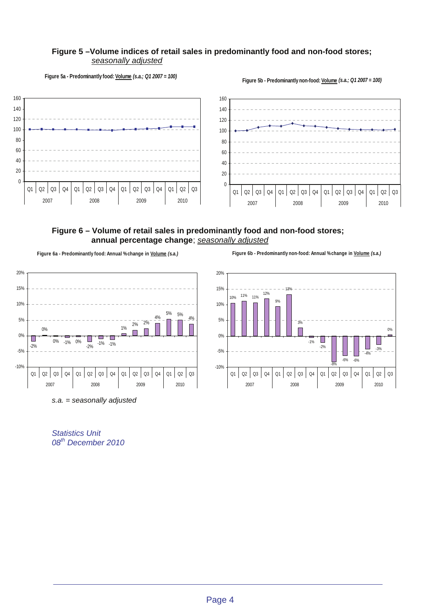#### **Figure 5 –Volume indices of retail sales in predominantly food and non-food stores;** *seasonally adjusted*

**Figure 5a - Predominantly food: Volume** *(s.a.; Q1 2007 = 100)* **Figure 5b - Predominantly non-food: Volume** *(s.a.; Q1 2007 = 100)* 







*s.a. = seasonally adjusted* 

*Statistics Unit 08th December 2010* 

**Figure 6a - Predominantly food: Annual %change in Volume** *(s.a.)* **Figure 6b - Predominantly non-food: Annual % change in Volume** *(s.a.)* 

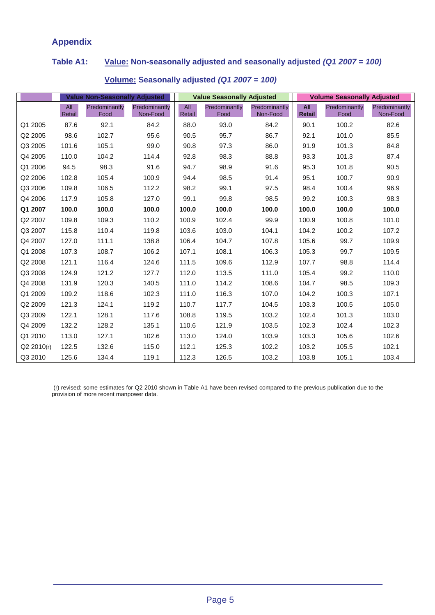# **Appendix**

# **Table A1: Value: Non-seasonally adjusted and seasonally adjusted** *(Q1 2007 = 100)*

|            | <b>Value Non-Seasonally Adiusted</b> |                       |                           | <b>Value Seasonally Adjusted</b> |                       |                           | <b>Volume Seasonally Adjusted</b> |                       |                           |
|------------|--------------------------------------|-----------------------|---------------------------|----------------------------------|-----------------------|---------------------------|-----------------------------------|-----------------------|---------------------------|
|            | All<br>Retail                        | Predominantly<br>Food | Predominantly<br>Non-Food | All<br>Retail                    | Predominantly<br>Food | Predominantly<br>Non-Food | All<br>Retail                     | Predominantly<br>Food | Predominantly<br>Non-Food |
| Q1 2005    | 87.6                                 | 92.1                  | 84.2                      | 88.0                             | 93.0                  | 84.2                      | 90.1                              | 100.2                 | 82.6                      |
| Q2 2005    | 98.6                                 | 102.7                 | 95.6                      | 90.5                             | 95.7                  | 86.7                      | 92.1                              | 101.0                 | 85.5                      |
| Q3 2005    | 101.6                                | 105.1                 | 99.0                      | 90.8                             | 97.3                  | 86.0                      | 91.9                              | 101.3                 | 84.8                      |
| Q4 2005    | 110.0                                | 104.2                 | 114.4                     | 92.8                             | 98.3                  | 88.8                      | 93.3                              | 101.3                 | 87.4                      |
| Q1 2006    | 94.5                                 | 98.3                  | 91.6                      | 94.7                             | 98.9                  | 91.6                      | 95.3                              | 101.8                 | 90.5                      |
| Q2 2006    | 102.8                                | 105.4                 | 100.9                     | 94.4                             | 98.5                  | 91.4                      | 95.1                              | 100.7                 | 90.9                      |
| Q3 2006    | 109.8                                | 106.5                 | 112.2                     | 98.2                             | 99.1                  | 97.5                      | 98.4                              | 100.4                 | 96.9                      |
| Q4 2006    | 117.9                                | 105.8                 | 127.0                     | 99.1                             | 99.8                  | 98.5                      | 99.2                              | 100.3                 | 98.3                      |
| Q1 2007    | 100.0                                | 100.0                 | 100.0                     | 100.0                            | 100.0                 | 100.0                     | 100.0                             | 100.0                 | 100.0                     |
| Q2 2007    | 109.8                                | 109.3                 | 110.2                     | 100.9                            | 102.4                 | 99.9                      | 100.9                             | 100.8                 | 101.0                     |
| Q3 2007    | 115.8                                | 110.4                 | 119.8                     | 103.6                            | 103.0                 | 104.1                     | 104.2                             | 100.2                 | 107.2                     |
| Q4 2007    | 127.0                                | 111.1                 | 138.8                     | 106.4                            | 104.7                 | 107.8                     | 105.6                             | 99.7                  | 109.9                     |
| Q1 2008    | 107.3                                | 108.7                 | 106.2                     | 107.1                            | 108.1                 | 106.3                     | 105.3                             | 99.7                  | 109.5                     |
| Q2 2008    | 121.1                                | 116.4                 | 124.6                     | 111.5                            | 109.6                 | 112.9                     | 107.7                             | 98.8                  | 114.4                     |
| Q3 2008    | 124.9                                | 121.2                 | 127.7                     | 112.0                            | 113.5                 | 111.0                     | 105.4                             | 99.2                  | 110.0                     |
| Q4 2008    | 131.9                                | 120.3                 | 140.5                     | 111.0                            | 114.2                 | 108.6                     | 104.7                             | 98.5                  | 109.3                     |
| Q1 2009    | 109.2                                | 118.6                 | 102.3                     | 111.0                            | 116.3                 | 107.0                     | 104.2                             | 100.3                 | 107.1                     |
| Q2 2009    | 121.3                                | 124.1                 | 119.2                     | 110.7                            | 117.7                 | 104.5                     | 103.3                             | 100.5                 | 105.0                     |
| Q3 2009    | 122.1                                | 128.1                 | 117.6                     | 108.8                            | 119.5                 | 103.2                     | 102.4                             | 101.3                 | 103.0                     |
| Q4 2009    | 132.2                                | 128.2                 | 135.1                     | 110.6                            | 121.9                 | 103.5                     | 102.3                             | 102.4                 | 102.3                     |
| Q1 2010    | 113.0                                | 127.1                 | 102.6                     | 113.0                            | 124.0                 | 103.9                     | 103.3                             | 105.6                 | 102.6                     |
| Q2 2010(r) | 122.5                                | 132.6                 | 115.0                     | 112.1                            | 125.3                 | 102.2                     | 103.2                             | 105.5                 | 102.1                     |
| Q3 2010    | 125.6                                | 134.4                 | 119.1                     | 112.3                            | 126.5                 | 103.2                     | 103.8                             | 105.1                 | 103.4                     |

# **Volume: Seasonally adjusted** *(Q1 2007 = 100)*

(r) revised: some estimates for Q2 2010 shown in Table A1 have been revised compared to the previous publication due to the provision of more recent manpower data.